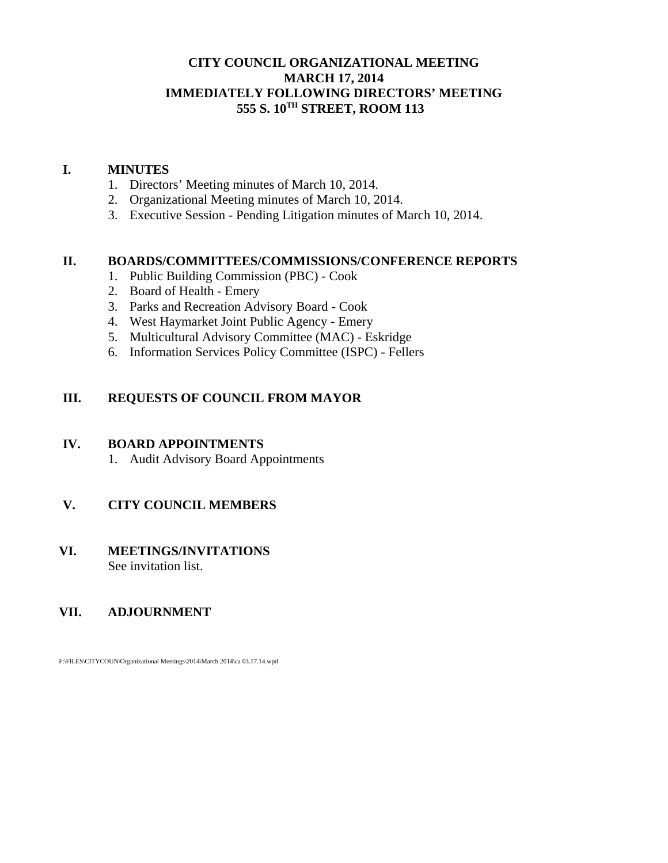### **CITY COUNCIL ORGANIZATIONAL MEETING MARCH 17, 2014 IMMEDIATELY FOLLOWING DIRECTORS' MEETING 555 S. 10TH STREET, ROOM 113**

### **I. MINUTES**

- 1. Directors' Meeting minutes of March 10, 2014.
- 2. Organizational Meeting minutes of March 10, 2014.
- 3. Executive Session Pending Litigation minutes of March 10, 2014.

#### **II. BOARDS/COMMITTEES/COMMISSIONS/CONFERENCE REPORTS**

- 1. Public Building Commission (PBC) Cook
- 2. Board of Health Emery
- 3. Parks and Recreation Advisory Board Cook
- 4. West Haymarket Joint Public Agency Emery
- 5. Multicultural Advisory Committee (MAC) Eskridge
- 6. Information Services Policy Committee (ISPC) Fellers

### **III. REQUESTS OF COUNCIL FROM MAYOR**

#### **IV. BOARD APPOINTMENTS**

1. Audit Advisory Board Appointments

### **V. CITY COUNCIL MEMBERS**

#### **VI. MEETINGS/INVITATIONS** See invitation list.

### **VII. ADJOURNMENT**

F:\FILES\CITYCOUN\Organizational Meetings\2014\March 2014\ca 03.17.14.wpd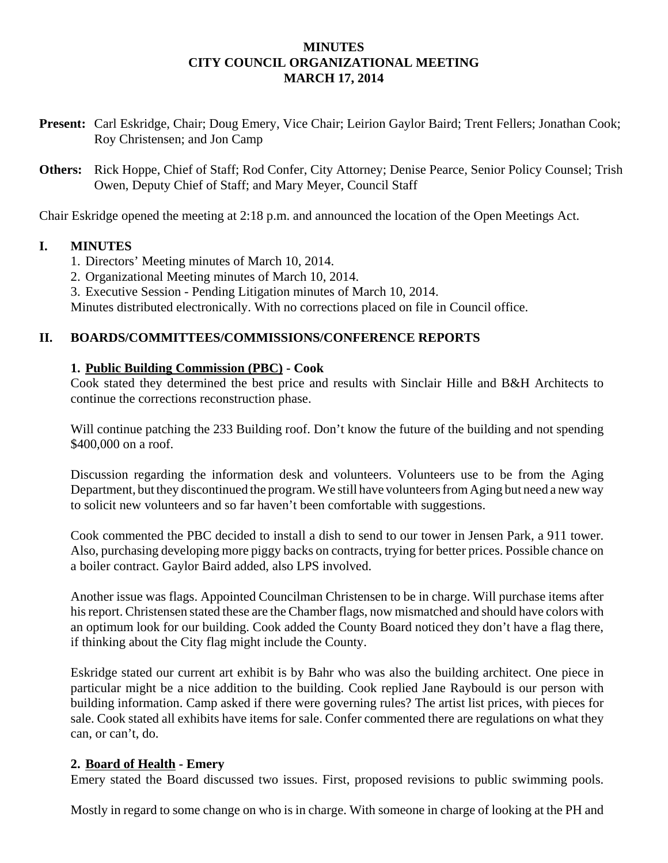### **MINUTES CITY COUNCIL ORGANIZATIONAL MEETING MARCH 17, 2014**

- **Present:** Carl Eskridge, Chair; Doug Emery, Vice Chair; Leirion Gaylor Baird; Trent Fellers; Jonathan Cook; Roy Christensen; and Jon Camp
- **Others:** Rick Hoppe, Chief of Staff; Rod Confer, City Attorney; Denise Pearce, Senior Policy Counsel; Trish Owen, Deputy Chief of Staff; and Mary Meyer, Council Staff

Chair Eskridge opened the meeting at 2:18 p.m. and announced the location of the Open Meetings Act.

## **I. MINUTES**

- 1. Directors' Meeting minutes of March 10, 2014.
- 2. Organizational Meeting minutes of March 10, 2014.
- 3. Executive Session Pending Litigation minutes of March 10, 2014.

Minutes distributed electronically. With no corrections placed on file in Council office.

## **II. BOARDS/COMMITTEES/COMMISSIONS/CONFERENCE REPORTS**

## **1. Public Building Commission (PBC) - Cook**

Cook stated they determined the best price and results with Sinclair Hille and B&H Architects to continue the corrections reconstruction phase.

Will continue patching the 233 Building roof. Don't know the future of the building and not spending \$400,000 on a roof.

Discussion regarding the information desk and volunteers. Volunteers use to be from the Aging Department, but they discontinued the program. We still have volunteers from Aging but need a new way to solicit new volunteers and so far haven't been comfortable with suggestions.

Cook commented the PBC decided to install a dish to send to our tower in Jensen Park, a 911 tower. Also, purchasing developing more piggy backs on contracts, trying for better prices. Possible chance on a boiler contract. Gaylor Baird added, also LPS involved.

Another issue was flags. Appointed Councilman Christensen to be in charge. Will purchase items after his report. Christensen stated these are the Chamber flags, now mismatched and should have colors with an optimum look for our building. Cook added the County Board noticed they don't have a flag there, if thinking about the City flag might include the County.

Eskridge stated our current art exhibit is by Bahr who was also the building architect. One piece in particular might be a nice addition to the building. Cook replied Jane Raybould is our person with building information. Camp asked if there were governing rules? The artist list prices, with pieces for sale. Cook stated all exhibits have items for sale. Confer commented there are regulations on what they can, or can't, do.

### **2. Board of Health - Emery**

Emery stated the Board discussed two issues. First, proposed revisions to public swimming pools.

Mostly in regard to some change on who is in charge. With someone in charge of looking at the PH and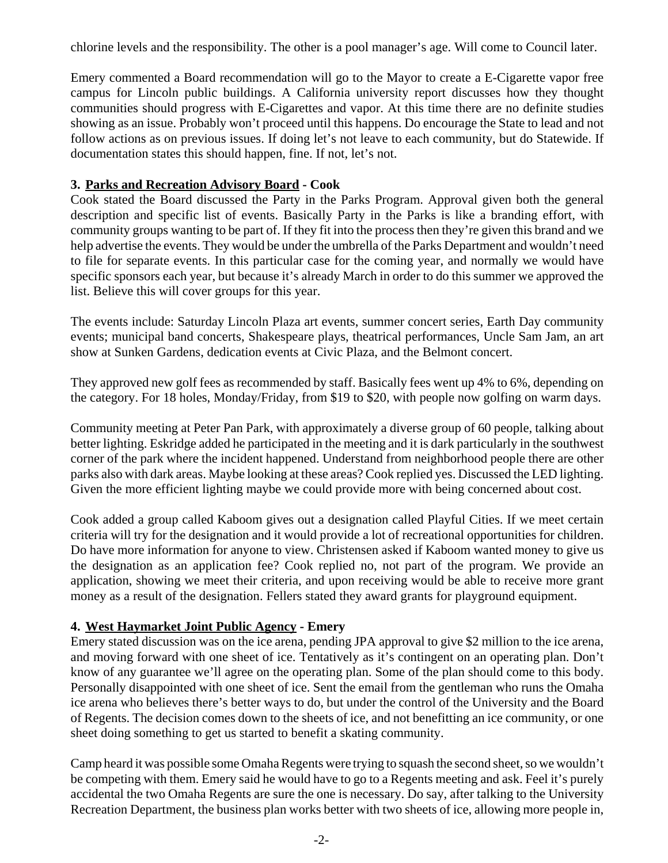chlorine levels and the responsibility. The other is a pool manager's age. Will come to Council later.

Emery commented a Board recommendation will go to the Mayor to create a E-Cigarette vapor free campus for Lincoln public buildings. A California university report discusses how they thought communities should progress with E-Cigarettes and vapor. At this time there are no definite studies showing as an issue. Probably won't proceed until this happens. Do encourage the State to lead and not follow actions as on previous issues. If doing let's not leave to each community, but do Statewide. If documentation states this should happen, fine. If not, let's not.

### **3. Parks and Recreation Advisory Board - Cook**

Cook stated the Board discussed the Party in the Parks Program. Approval given both the general description and specific list of events. Basically Party in the Parks is like a branding effort, with community groups wanting to be part of. If they fit into the process then they're given this brand and we help advertise the events. They would be under the umbrella of the Parks Department and wouldn't need to file for separate events. In this particular case for the coming year, and normally we would have specific sponsors each year, but because it's already March in order to do this summer we approved the list. Believe this will cover groups for this year.

The events include: Saturday Lincoln Plaza art events, summer concert series, Earth Day community events; municipal band concerts, Shakespeare plays, theatrical performances, Uncle Sam Jam, an art show at Sunken Gardens, dedication events at Civic Plaza, and the Belmont concert.

They approved new golf fees as recommended by staff. Basically fees went up 4% to 6%, depending on the category. For 18 holes, Monday/Friday, from \$19 to \$20, with people now golfing on warm days.

Community meeting at Peter Pan Park, with approximately a diverse group of 60 people, talking about better lighting. Eskridge added he participated in the meeting and it is dark particularly in the southwest corner of the park where the incident happened. Understand from neighborhood people there are other parks also with dark areas. Maybe looking at these areas? Cook replied yes. Discussed the LED lighting. Given the more efficient lighting maybe we could provide more with being concerned about cost.

Cook added a group called Kaboom gives out a designation called Playful Cities. If we meet certain criteria will try for the designation and it would provide a lot of recreational opportunities for children. Do have more information for anyone to view. Christensen asked if Kaboom wanted money to give us the designation as an application fee? Cook replied no, not part of the program. We provide an application, showing we meet their criteria, and upon receiving would be able to receive more grant money as a result of the designation. Fellers stated they award grants for playground equipment.

### **4. West Haymarket Joint Public Agency - Emery**

Emery stated discussion was on the ice arena, pending JPA approval to give \$2 million to the ice arena, and moving forward with one sheet of ice. Tentatively as it's contingent on an operating plan. Don't know of any guarantee we'll agree on the operating plan. Some of the plan should come to this body. Personally disappointed with one sheet of ice. Sent the email from the gentleman who runs the Omaha ice arena who believes there's better ways to do, but under the control of the University and the Board of Regents. The decision comes down to the sheets of ice, and not benefitting an ice community, or one sheet doing something to get us started to benefit a skating community.

Camp heard it was possible some Omaha Regents were trying to squash the second sheet, so we wouldn't be competing with them. Emery said he would have to go to a Regents meeting and ask. Feel it's purely accidental the two Omaha Regents are sure the one is necessary. Do say, after talking to the University Recreation Department, the business plan works better with two sheets of ice, allowing more people in,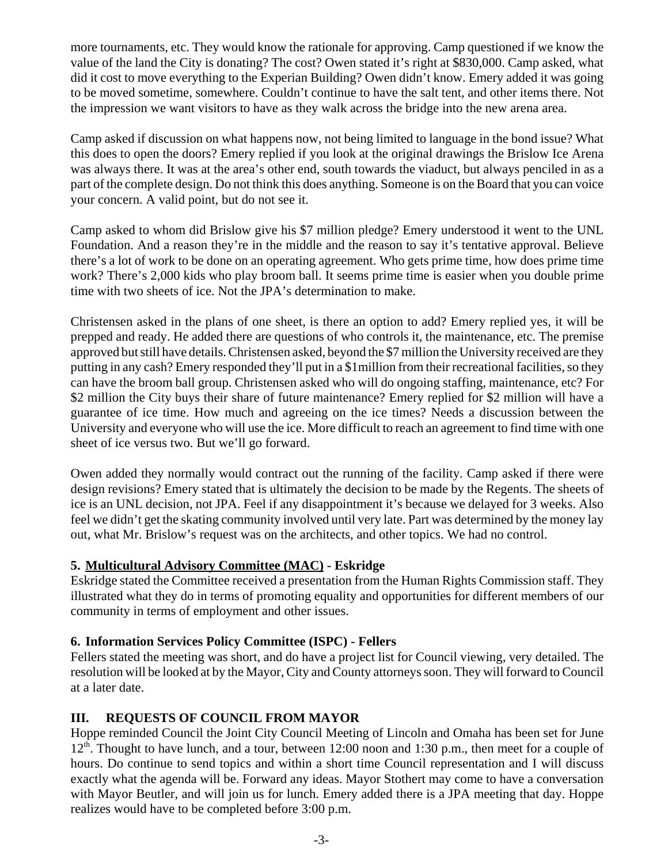more tournaments, etc. They would know the rationale for approving. Camp questioned if we know the value of the land the City is donating? The cost? Owen stated it's right at \$830,000. Camp asked, what did it cost to move everything to the Experian Building? Owen didn't know. Emery added it was going to be moved sometime, somewhere. Couldn't continue to have the salt tent, and other items there. Not the impression we want visitors to have as they walk across the bridge into the new arena area.

Camp asked if discussion on what happens now, not being limited to language in the bond issue? What this does to open the doors? Emery replied if you look at the original drawings the Brislow Ice Arena was always there. It was at the area's other end, south towards the viaduct, but always penciled in as a part of the complete design. Do not think this does anything. Someone is on the Board that you can voice your concern. A valid point, but do not see it.

Camp asked to whom did Brislow give his \$7 million pledge? Emery understood it went to the UNL Foundation. And a reason they're in the middle and the reason to say it's tentative approval. Believe there's a lot of work to be done on an operating agreement. Who gets prime time, how does prime time work? There's 2,000 kids who play broom ball. It seems prime time is easier when you double prime time with two sheets of ice. Not the JPA's determination to make.

Christensen asked in the plans of one sheet, is there an option to add? Emery replied yes, it will be prepped and ready. He added there are questions of who controls it, the maintenance, etc. The premise approved but still have details. Christensen asked, beyond the \$7 million the University received are they putting in any cash? Emery responded they'll put in a \$1million from their recreational facilities, so they can have the broom ball group. Christensen asked who will do ongoing staffing, maintenance, etc? For \$2 million the City buys their share of future maintenance? Emery replied for \$2 million will have a guarantee of ice time. How much and agreeing on the ice times? Needs a discussion between the University and everyone who will use the ice. More difficult to reach an agreement to find time with one sheet of ice versus two. But we'll go forward.

Owen added they normally would contract out the running of the facility. Camp asked if there were design revisions? Emery stated that is ultimately the decision to be made by the Regents. The sheets of ice is an UNL decision, not JPA. Feel if any disappointment it's because we delayed for 3 weeks. Also feel we didn't get the skating community involved until very late. Part was determined by the money lay out, what Mr. Brislow's request was on the architects, and other topics. We had no control.

### **5. Multicultural Advisory Committee (MAC) - Eskridge**

Eskridge stated the Committee received a presentation from the Human Rights Commission staff. They illustrated what they do in terms of promoting equality and opportunities for different members of our community in terms of employment and other issues.

### **6. Information Services Policy Committee (ISPC) - Fellers**

Fellers stated the meeting was short, and do have a project list for Council viewing, very detailed. The resolution will be looked at by the Mayor, City and County attorneys soon. They will forward to Council at a later date.

### **III. REQUESTS OF COUNCIL FROM MAYOR**

Hoppe reminded Council the Joint City Council Meeting of Lincoln and Omaha has been set for June  $12<sup>th</sup>$ . Thought to have lunch, and a tour, between 12:00 noon and 1:30 p.m., then meet for a couple of hours. Do continue to send topics and within a short time Council representation and I will discuss exactly what the agenda will be. Forward any ideas. Mayor Stothert may come to have a conversation with Mayor Beutler, and will join us for lunch. Emery added there is a JPA meeting that day. Hoppe realizes would have to be completed before 3:00 p.m.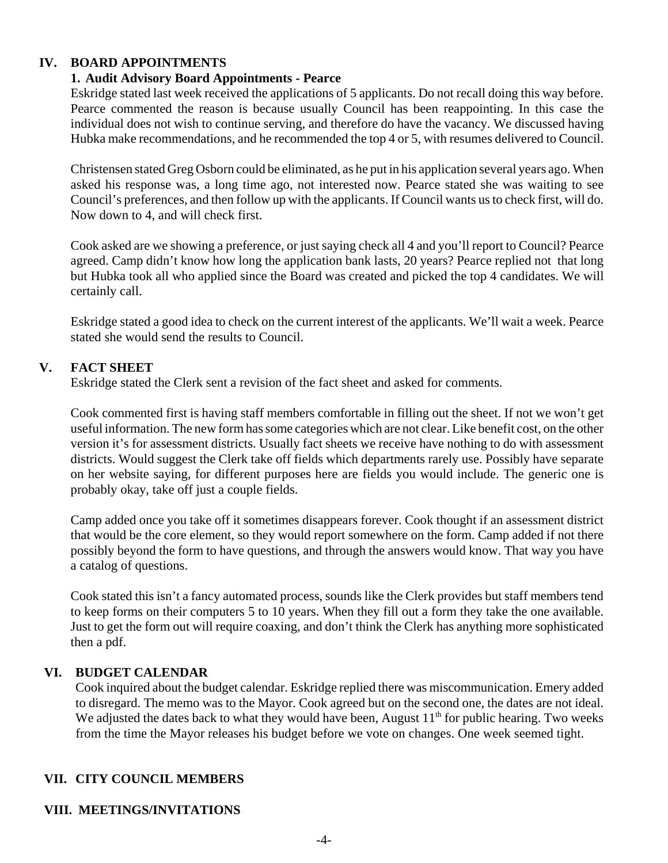#### **IV. BOARD APPOINTMENTS**

#### **1. Audit Advisory Board Appointments - Pearce**

Eskridge stated last week received the applications of 5 applicants. Do not recall doing this way before. Pearce commented the reason is because usually Council has been reappointing. In this case the individual does not wish to continue serving, and therefore do have the vacancy. We discussed having Hubka make recommendations, and he recommended the top 4 or 5, with resumes delivered to Council.

Christensen stated Greg Osborn could be eliminated, as he put in his application several years ago. When asked his response was, a long time ago, not interested now. Pearce stated she was waiting to see Council's preferences, and then follow up with the applicants. If Council wants us to check first, will do. Now down to 4, and will check first.

Cook asked are we showing a preference, or just saying check all 4 and you'll report to Council? Pearce agreed. Camp didn't know how long the application bank lasts, 20 years? Pearce replied not that long but Hubka took all who applied since the Board was created and picked the top 4 candidates. We will certainly call.

Eskridge stated a good idea to check on the current interest of the applicants. We'll wait a week. Pearce stated she would send the results to Council.

### **V. FACT SHEET**

Eskridge stated the Clerk sent a revision of the fact sheet and asked for comments.

Cook commented first is having staff members comfortable in filling out the sheet. If not we won't get useful information. The new form has some categories which are not clear. Like benefit cost, on the other version it's for assessment districts. Usually fact sheets we receive have nothing to do with assessment districts. Would suggest the Clerk take off fields which departments rarely use. Possibly have separate on her website saying, for different purposes here are fields you would include. The generic one is probably okay, take off just a couple fields.

Camp added once you take off it sometimes disappears forever. Cook thought if an assessment district that would be the core element, so they would report somewhere on the form. Camp added if not there possibly beyond the form to have questions, and through the answers would know. That way you have a catalog of questions.

Cook stated this isn't a fancy automated process, sounds like the Clerk provides but staff members tend to keep forms on their computers 5 to 10 years. When they fill out a form they take the one available. Just to get the form out will require coaxing, and don't think the Clerk has anything more sophisticated then a pdf.

#### **VI. BUDGET CALENDAR**

Cook inquired about the budget calendar. Eskridge replied there was miscommunication. Emery added to disregard. The memo was to the Mayor. Cook agreed but on the second one, the dates are not ideal. We adjusted the dates back to what they would have been, August  $11<sup>th</sup>$  for public hearing. Two weeks from the time the Mayor releases his budget before we vote on changes. One week seemed tight.

### **VII. CITY COUNCIL MEMBERS**

#### **VIII. MEETINGS/INVITATIONS**